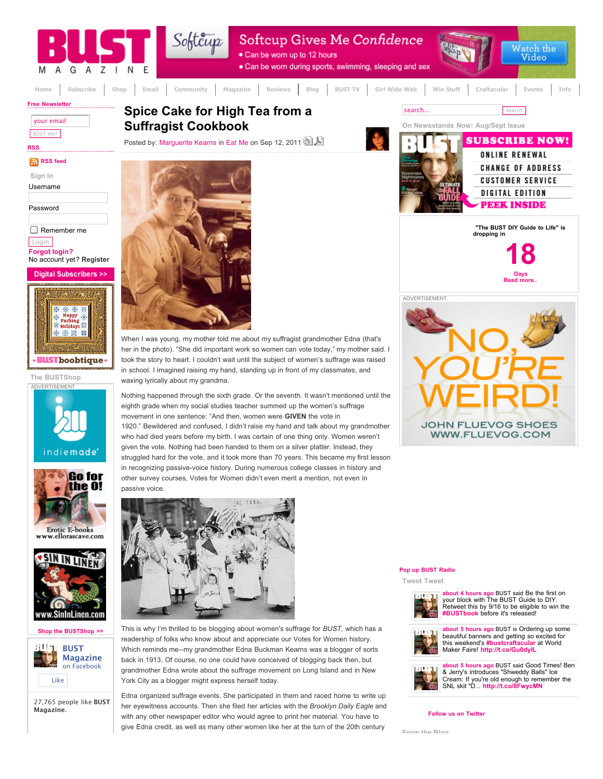

**[Shop the BUSTShop >>](http://www.bust.com/index.php?option=com_content&view=article&id=6194&Itemid=198)**



27,765 people like **BUST Magazine**.

This is why I'm thrilled to be blogging about women's suffrage for *BUST,* which has a readership of folks who know about and appreciate our Votes for Women history. Which reminds me--my grandmother Edna Buckman Kearns was a blogger of sorts back in 1913. Of course, no one could have conceived of blogging back then, but grandmother Edna wrote about the suffrage movement on Long Island and in New York City as a blogger might express herself today.

Edna organized suffrage events. She participated in them and raced home to write up her eyewitness accounts. Then she filed her articles with the *Brooklyn Daily Eagle* and with any other newspaper editor who would agree to print her material. You have to give Edna credit, as well as many other women like her at the turn of the 20th century





**[about 5 hours ago](http://twitter.com/bust_magazine/statuses/113263976476979200)** BUST is Ordering up some [b](http://twitter.com/bust_magazine)eautiful banners and getting so excited for this weekend's **[#bustcraftacular](http://search.twitter.com/search?q=&tag=bustcraftacular&lang=all&from=bust_magazine)** at World Maker Faire! **<http://t.co/Gu0dylL>**



**[about 5 hours ago](http://twitter.com/bust_magazine/statuses/113258740731482110)** BUST said Good Times! Ben [&](http://twitter.com/bust_magazine) Jerry's introduces "Shweddy Balls" Ice Cream: If you're old enough to remember the SNL skit "D... **<http://t.co/8FwycMN>**

# **[Follow us on Twitter](http://twitter.com/bust_magazine/)**

**From the Blog**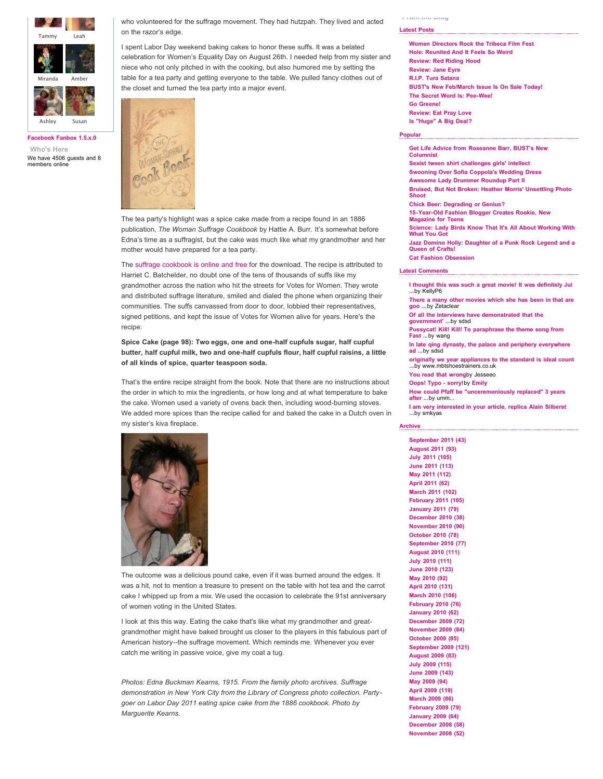

**[Facebook Fanbox 1.5.x.0](http://www.khawaib.co.uk/web-design/facebook-fanbox.html) Who's Here** We have 4506 guests and 8 members online

who volunteered for the suffrage movement. They had hutzpah. They lived and acted on the razor's edge.

I spent Labor Day weekend baking cakes to honor these suffs. It was a belated celebration for Women's Equality Day on August 26th. I needed help from my sister and niece who not only pitched in with the cooking, but also humored me by setting the table for a tea party and getting everyone to the table. We pulled fancy clothes out of the closet and turned the tea party into a major event.



The tea party's highlight was a spice cake made from a recipe found in an 1886 publication, *The Woman Suffrage Cookbook* by Hattie A. Burr. It's somewhat before Edna's time as a suffragist, but the cake was much like what my grandmother and her mother would have prepared for a tea party.

The [suffrage cookbook is online and free](http://digital.lib.msu.edu/projects/cookbooks/html/books/book_43.cfm) for the download. The recipe is attributed to Harriet C. Batchelder, no doubt one of the tens of thousands of suffs like my grandmother across the nation who hit the streets for Votes for Women. They wrote and distributed suffrage literature, smiled and dialed the phone when organizing their communities. The suffs canvassed from door to door, lobbied their representatives, signed petitions, and kept the issue of Votes for Women alive for years. Here's the recipe:

**Spice Cake (page 98): Two eggs, one and one-half cupfuls sugar, half cupful butter, half cupful milk, two and one-half cupfuls flour, half cupful raisins, a little of all kinds of spice, quarter teaspoon soda.**

That's the entire recipe straight from the book. Note that there are no instructions about the order in which to mix the ingredients, or how long and at what temperature to bake the cake. Women used a variety of ovens back then, including wood-burning stoves. We added more spices than the recipe called for and baked the cake in a Dutch oven in my sister's kiva fireplace.



The outcome was a delicious pound cake, even if it was burned around the edges. It was a hit, not to mention a treasure to present on the table with hot tea and the carrot cake I whipped up from a mix. We used the occasion to celebrate the 91st anniversary of women voting in the United States.

I look at this this way. Eating the cake that's like what my grandmother and greatgrandmother might have baked brought us closer to the players in this fabulous part of American history--the suffrage movement. Which reminds me. Whenever you ever catch me writing in passive voice, give my coat a tug.

*Photos: Edna Buckman Kearns, 1915. From the family photo archives. Suffrage demonstration in New York City from the Library of Congress photo collection. Partygoer on Labor Day 2011 eating spice cake from the 1886 cookbook. Photo by Marguerite Kearns.*

# **From the Blog**

### **[Latest Posts](javascript:void(null);)**

**[Women Directors Rock the Tribeca Film Fest](http://www.bust.com/blog/2011/05/03/women-directors-rock-the-tribeca-film-fest.html) [Hole: Reunited And It Feels So Weird](http://www.bust.com/blog/2011/03/29/hole-reunited-and-it-feels-so-weird.html) [Review: Red Riding Hood](http://www.bust.com/blog/2011/03/10/review-red-riding-hood.html) [Review: Jane Eyre](http://www.bust.com/blog/2011/03/09/review-jane-eyre.html) [R.I.P. Tura Satana](http://www.bust.com/blog/2011/02/07/rip-tura-satana.html) [BUST's New Feb/March Issue Is On Sale Today!](http://www.bust.com/blog/2011/01/26/busts-new-febmarch-issue-is-on-sale-today.html) [The Secret Word Is: Pee-Wee!](http://www.bust.com/blog/2010/11/08/the-secret-word-is-pee-wee.html) [Go Greene!](http://www.bust.com/blog/2010/11/01/go-greene.html) [Review: Eat Pray Love](http://www.bust.com/blog/2010/08/13/review-eat-pray-love.html) [Is "Huge" A Big Deal?](http://www.bust.com/blog/2010/06/30/is-qhugeq-a-big-deal.html)**

## **[Popular](javascript:void(null);)**

**[Get Life Advice from Roseanne Barr, BUST's New](http://www.bust.com/news/general/get-life-advice-from-roseanne-barr-bust%E2%80%99s-new-columnist.html) Columnist [Sexist tween shirt challenges girls' intellect](http://www.bust.com/feminizzle/sexist-tween-shirt-challenges-girls-intellect.html) [Swooning Over Sofia Coppola's Wedding Dress](http://www.bust.com/style-file/swooning-over-sophia-coppola-s-wedding-dress.html) [Awesome Lady Drummer Roundup Part II](http://www.bust.com/music-stuff/awesome-lady-drummer-roundup-part-ii.html) [Bruised, But Not Broken: Heather Morris' Unsettling Photo](http://www.bust.com/feminizzle/bruised-but-not-broken-heather-morris-unsettling-photo-shoot.html) Shoot [Chick Beer: Degrading or Genius?](http://www.bust.com/eat-me/chick-beer-new-premium-beer-company-sets-it-s-sight-on-us.html) [15-Year-Old Fashion Blogger Creates Rookie, New](http://www.bust.com/feminizzle/15-year-old-fashion-blogger-creates-rookie-new-magazine-for-teens.html) Magazine for Teens [Science: Lady Birds Know That It's All About Working With](http://www.bust.com/news/general/science-lady-birds-know-that-it-s-all-about-working-with-what-you-got.html) What You Got [Jazz Domino Holly: Daughter of a Punk Rock Legend and a](http://www.bust.com/crafty/jazz-domino-holly-daughter-of-a-punk-rock-legend-and-a-queen-of-crafts.html) Queen of Crafts! [Cat Fashion Obsession](http://www.bust.com/style-file/cat-fashion-obsession.html) [Latest Comments](javascript:void(null);)**

**[I thought this was such a great movie! It was definitely Jul](http://www.bust.com/blog/2010/08/13/review-eat-pray-love.html#comment-23083) ...**by KellyP6 **[There a many other movies which she has been in that are](http://www.bust.com/blog/2010/03/17/review-the-runaways.html#comment-21609) goo ...**by Zetaclear **[Of all the interviews have demonstrated that the](http://www.bust.com/blog/2011/03/29/hole-reunited-and-it-feels-so-weird.html#comment-21142) government' ...**by sdsd **[Pussycat! Kill! Kill! To paraphrase the theme song from](http://www.bust.com/blog/2011/02/07/rip-tura-satana.html#comment-21069) Fast ...**by wang **[In late qing dynasty, the palace and periphery everywhere](http://www.bust.com/blog/1969/12/31/you-look-merr-valous-html.html#comment-20873) ad ...**by sdsd **[originally we year appliances to the standard is ideal count](http://www.bust.com/blog/1969/12/31/everyone-knows-its-wendyhtml.html#comment-20725) ...**by www.mbtshoestrainers.co.uk **[You read that wrong](http://www.bust.com/blog/2011/03/29/hole-reunited-and-it-feels-so-weird.html#comment-20604)**by Jesseeo **[Oops! Typo - sorry!](http://www.bust.com/blog/2011/03/29/hole-reunited-and-it-feels-so-weird.html#comment-20603)**by **[Emily](http://www.bust.com/blog/emily/) [How could Pfaff be "unceremoniously replaced" 3 years](http://www.bust.com/blog/2011/03/29/hole-reunited-and-it-feels-so-weird.html#comment-20602) after ...**by umm... **[I am very interested in your article, replica Alain Silberst](http://www.bust.com/blog/2011/01/26/busts-new-febmarch-issue-is-on-sale-today.html#comment-20492) ...**by smkyas

### **[Archive](javascript:void(null);)**

**[September 2011 \(43\)](http://www.bust.com/blog/2011/september/) [August 2011 \(93\)](http://www.bust.com/blog/2011/august/) [July 2011 \(105\)](http://www.bust.com/blog/2011/july/) [June 2011 \(113\)](http://www.bust.com/blog/2011/june/) [May 2011 \(112\)](http://www.bust.com/blog/2011/may/) [April 2011 \(62\)](http://www.bust.com/blog/2011/april/) [March 2011 \(102\)](http://www.bust.com/blog/2011/march/) [February 2011 \(105\)](http://www.bust.com/blog/2011/february/) [January 2011 \(79\)](http://www.bust.com/blog/2011/january/) [December 2010 \(38\)](http://www.bust.com/blog/2010/december/) [November 2010 \(90\)](http://www.bust.com/blog/2010/november/) [October 2010 \(78\)](http://www.bust.com/blog/2010/october/) [September 2010 \(77\)](http://www.bust.com/blog/2010/september/) [August 2010 \(111\)](http://www.bust.com/blog/2010/august/) [July 2010 \(111\)](http://www.bust.com/blog/2010/july/) [June 2010 \(123\)](http://www.bust.com/blog/2010/june/) [May 2010 \(92\)](http://www.bust.com/blog/2010/may/) [April 2010 \(131\)](http://www.bust.com/blog/2010/april/) [March 2010 \(106\)](http://www.bust.com/blog/2010/march/) [February 2010 \(76\)](http://www.bust.com/blog/2010/february/) [January 2010 \(62\)](http://www.bust.com/blog/2010/january/) [December 2009 \(72\)](http://www.bust.com/blog/2009/december/) [November 2009 \(84\)](http://www.bust.com/blog/2009/november/) [October 2009 \(85\)](http://www.bust.com/blog/2009/october/) [September 2009 \(121\)](http://www.bust.com/blog/2009/september/) [August 2009 \(83\)](http://www.bust.com/blog/2009/august/) [July 2009 \(115\)](http://www.bust.com/blog/2009/july/) [June 2009 \(143\)](http://www.bust.com/blog/2009/june/) [May 2009 \(94\)](http://www.bust.com/blog/2009/may/) [April 2009 \(119\)](http://www.bust.com/blog/2009/april/) [March 2009 \(86\)](http://www.bust.com/blog/2009/march/) [February 2009 \(79\)](http://www.bust.com/blog/2009/february/) [January 2009 \(64\)](http://www.bust.com/blog/2009/january/) [December 2008 \(58\)](http://www.bust.com/blog/2008/december/) [November 2008 \(52\)](http://www.bust.com/blog/2008/november/)**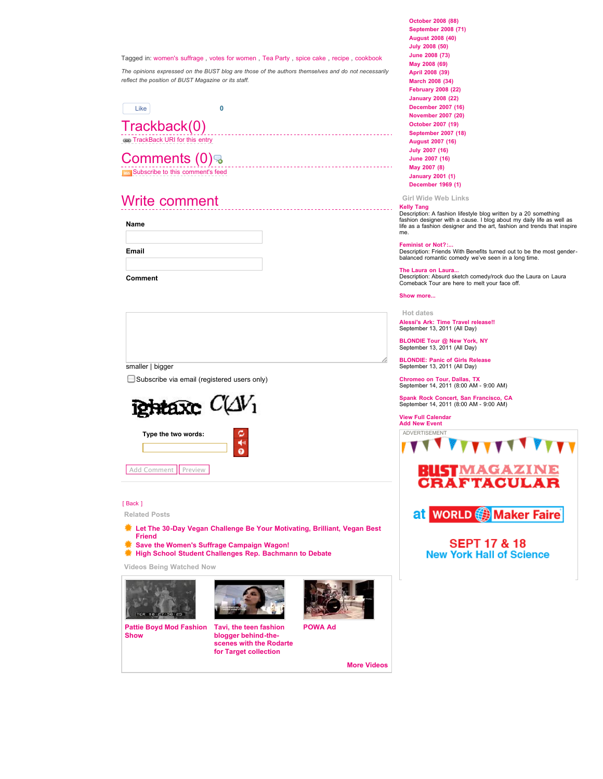# Tagged in: [women's suffrage](http://www.bust.com/blog/view-by-tag/womens+suffrage/) , [votes for women](http://www.bust.com/blog/view-by-tag/votes+for+women/) , [Tea Party](http://www.bust.com/blog/view-by-tag/tea+party/) , [spice cake](http://www.bust.com/blog/view-by-tag/spice+cake/) , [recipe](http://www.bust.com/blog/view-by-tag/recipe/) , [cookbook](http://www.bust.com/blog/view-by-tag/cookbook/)

*The opinions expressed on the BUST blog are those of the authors themselves and do not necessarily reflect the position of BUST Magazine or its staff.*



Trackback(0) **[TrackBack URI for this entry](http://www.bust.com/index.php?option=com_jomcomment&task=trackback&id=6783&opt=com_myblog)** 

# Comments (0) ह **[Subscribe to this comment's feed](http://www.bust.com/index.php?option=com_jomcomment&task=rss&contentid=6783&opt=com_myblog)**

# Write comment

**Name**

**Email**

**Comment**

| smaller   bigger                                   |  |
|----------------------------------------------------|--|
| $\Box$ Subscribe via email (registered users only) |  |
|                                                    |  |



Add Comment Preview

# [\[ Back \]](javascript:void(0);)

**Related Posts**

- **[Let The 30-Day Vegan Challenge Be Your Motivating, Brilliant, Vegan Best](http://www.bust.com/blog/2011/09/06/let-the-30-day-vegan-challenge-be-your-motivating-brilliant-vegan-best-friend.html) Friend**
- **[Save the Women's Suffrage Campaign Wagon!](http://www.bust.com/blog/2011/05/25/save-the-womens-suffrage-campaign-wagon.html) [High School Student Challenges Rep. Bachmann to Debate](http://www.bust.com/blog/2011/05/16/high-school-student-challenges-rep-bachmann-to-debate.html)**

**Videos Being Watched Now**





**[Pattie Boyd Mod Fashion](http://www.bust.com/videos/viewvideo/197/fashion/pattie-boyd-mod-fashion-show.html) Show**

**Tavi, the teen fashion blogger behind-the[scenes with the Rodarte](http://www.bust.com/videos/viewvideo/760/fashion/tavi-the-teen-fashion-blogger-behind-the-scenes-with-the-rodarte-for-target-collection.html) for Target collection**



**[POWA Ad](http://www.bust.com/videos/viewvideo/490/feminizzle/powa-ad.html)**

**[More Videos](http://www.bust.com/videos/frontpage.html)**

**[October 2008 \(88\)](http://www.bust.com/blog/2008/october/) [September 2008 \(71\)](http://www.bust.com/blog/2008/september/) [August 2008 \(40\)](http://www.bust.com/blog/2008/august/) [July 2008 \(50\)](http://www.bust.com/blog/2008/july/) [June 2008 \(73\)](http://www.bust.com/blog/2008/june/) [May 2008 \(69\)](http://www.bust.com/blog/2008/may/) [April 2008 \(39\)](http://www.bust.com/blog/2008/april/) [March 2008 \(34\)](http://www.bust.com/blog/2008/march/) [February 2008 \(22\)](http://www.bust.com/blog/2008/february/) [January 2008 \(22\)](http://www.bust.com/blog/2008/january/) [December 2007 \(16\)](http://www.bust.com/blog/2007/december/) [November 2007 \(20\)](http://www.bust.com/blog/2007/november/) [October 2007 \(19\)](http://www.bust.com/blog/2007/october/) [September 2007 \(18\)](http://www.bust.com/blog/2007/september/) [August 2007 \(16\)](http://www.bust.com/blog/2007/august/) [July 2007 \(16\)](http://www.bust.com/blog/2007/july/) [June 2007 \(16\)](http://www.bust.com/blog/2007/june/) [May 2007 \(8\)](http://www.bust.com/blog/2007/may/) [January 2001 \(1\)](http://www.bust.com/blog/2001/january/) [December 1969 \(1\)](http://www.bust.com/blog/1969/december/)**

**Girl Wide Web Links**

**[Kelly Tang](http://www.bust.com/fashion-beauty/27848-kelly-tang.html)** Description: A fashion lifestyle blog written by a 20 something fashion designer with a cause. I blog about my daily life as well as life as a fashion designer and the art, fashion and trends that inspire me.

## **[Feminist or Not?:...](http://www.bust.com/movies-videos/27477-feminist-or-not-friends-with-benefits.html)**

Description: Friends With Benefits turned out to be the most gender-balanced romantic comedy we've seen in a long time.

**[The Laura on Laura...](http://www.bust.com/music/27392-the-laura-on-laura-comeback-tour.html)** Description: Absurd sketch comedy/rock duo the Laura on Laura Comeback Tour are here to melt your face off.

**[Show more...](http://www.bust.com/featured-listing/)**

# **Hot dates**

**[Alessi's Ark: Time Travel release!!](http://www.bust.com/calendar/2011-09-13/alessi-s-ark-time-travel-release.html)** September 13, 2011 (All Day)

**[BLONDIE Tour @ New York, NY](http://www.bust.com/calendar/2011-09-13/blondie-tour-new-york-ny.html)** September 13, 2011 (All Day)

**[BLONDIE: Panic of Girls Release](http://www.bust.com/calendar/2011-09-13/blondie-panic-of-girls-release.html)** September 13, 2011 (All Day)

**[Chromeo on Tour, Dallas, TX](http://www.bust.com/calendar/2011-09-14/chromeo-on-tour-dallas-tx.html)** September 14, 2011 (8:00 AM - 9:00 AM)

**[Spank Rock Concert, San Francisco, CA](http://www.bust.com/calendar/2011-09-14/spank-rock-concert-san-francisco-ca.html)** September 14, 2011 (8:00 AM - 9:00 AM)

## **[View Full Calendar](http://www.bust.com/calendar/) [Add New Event](http://www.bust.com/calendar/add-event/)**

T



**TVVVVV VVVV** 



**SEPT 17 & 18 New York Hall of Science**